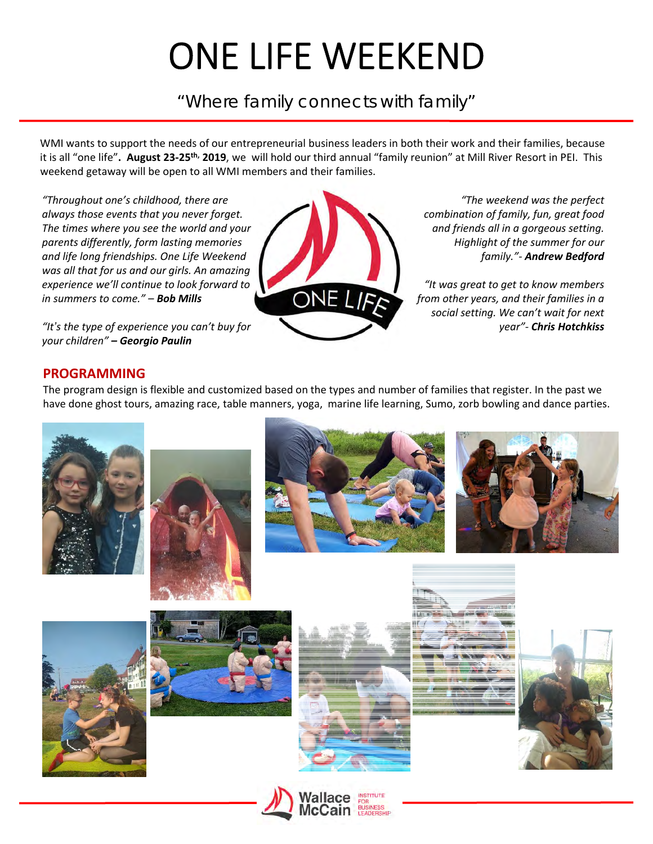# ONE LIFE WEEKEND

"Where family connects with family"

WMI wants to support the needs of our entrepreneurial business leaders in both their work and their families, because it is all "one life"**. August 23‐25th, 2019**, we will hold our third annual "family reunion" at Mill River Resort in PEI. This weekend getaway will be open to all WMI members and their families.

*"Throughout one's childhood, there are always those events that you never forget. The times where you see the world and your parents differently, form lasting memories and life long friendships. One Life Weekend was all that for us and our girls. An amazing experience we'll continue to look forward to in summers to come." – Bob Mills*

*"It's the type of experience you can't buy for your children" – Georgio Paulin*



*"The weekend was the perfect combination of family, fun, great food and friends all in a gorgeous setting. Highlight of the summer for our family."‐ Andrew Bedford*

*"It was great to get to know members from other years, and their families in a social setting. We can't wait for next year"‐ Chris Hotchkiss*

## **PROGRAMMING**

The program design is flexible and customized based on the types and number of families that register. In the past we have done ghost tours, amazing race, table manners, yoga, marine life learning, Sumo, zorb bowling and dance parties.